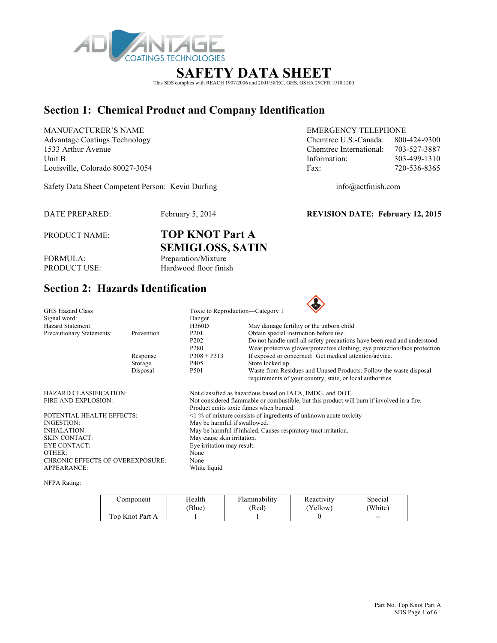

# **SAFETY DATA SHEET**

This SDS complies with REACH 1907/2006 and 2001/58/EC, GHS, OSHA 29CFR 1910.1200

# **Section 1: Chemical Product and Company Identification**

MANUFACTURER'S NAME EMERGENCY TELEPHONE Unit B 103-499-1310 Louisville, Colorado 80027-3054 Fax: 720-536-8365

Advantage Coatings Technology Chemtrec U.S.-Canada: 800-424-9300 1533 Arthur Avenue Chemtrec International: 703-527-3887

Safety Data Sheet Competent Person: Kevin Durling info@actfinish.com

DATE PREPARED: February 5, 2014 **REVISION DATE: February 12, 2015**

PRODUCT NAME: **TOP KNOT Part A SEMIGLOSS, SATIN**

FORMULA: Preparation/Mixture<br>PRODUCT USE: Hardwood floor finis Hardwood floor finish

## **Section 2: Hazards Identification**

| <b>GHS Hazard Class</b>                 |            | Toxic to Reproduction—Category 1                                                           |                                                                                                                                  |  |  |  |  |
|-----------------------------------------|------------|--------------------------------------------------------------------------------------------|----------------------------------------------------------------------------------------------------------------------------------|--|--|--|--|
| Signal word:                            |            | Danger                                                                                     |                                                                                                                                  |  |  |  |  |
| <b>Hazard Statement:</b>                |            | <b>H360D</b>                                                                               | May damage fertility or the unborn child                                                                                         |  |  |  |  |
| Precautionary Statements:               | Prevention | P <sub>201</sub>                                                                           | Obtain special instruction before use.                                                                                           |  |  |  |  |
|                                         |            | P <sub>202</sub>                                                                           | Do not handle until all safety precautions have been read and understood.                                                        |  |  |  |  |
|                                         |            | P <sub>280</sub>                                                                           | Wear protective gloves/protective clothing; eye protection/face protection                                                       |  |  |  |  |
|                                         | Response   | $P308 + P313$                                                                              | If exposed or concerned: Get medical attention/advice.                                                                           |  |  |  |  |
|                                         | Storage    | P405                                                                                       | Store locked up.                                                                                                                 |  |  |  |  |
|                                         | Disposal   | P <sub>501</sub>                                                                           | Waste from Residues and Unused Products: Follow the waste disposal<br>requirements of your country, state, or local authorities. |  |  |  |  |
| HAZARD CLASSIFICATION:                  |            |                                                                                            | Not classified as hazardous based on IATA, IMDG, and DOT.                                                                        |  |  |  |  |
| <b>FIRE AND EXPLOSION:</b>              |            | Not considered flammable or combustible, but this product will burn if involved in a fire. |                                                                                                                                  |  |  |  |  |
|                                         |            |                                                                                            | Product emits toxic fumes when burned.                                                                                           |  |  |  |  |
| POTENTIAL HEALTH EFFECTS:               |            |                                                                                            | $\leq$ 1 % of mixture consists of ingredients of unknown acute toxicity                                                          |  |  |  |  |
| INGESTION:                              |            |                                                                                            | May be harmful if swallowed.                                                                                                     |  |  |  |  |
| <b>INHALATION:</b>                      |            | May be harmful if inhaled. Causes respiratory tract irritation.                            |                                                                                                                                  |  |  |  |  |
| <b>SKIN CONTACT:</b>                    |            | May cause skin irritation.                                                                 |                                                                                                                                  |  |  |  |  |
| <b>EYE CONTACT:</b>                     |            | Eye irritation may result.                                                                 |                                                                                                                                  |  |  |  |  |
| OTHER:                                  |            | None                                                                                       |                                                                                                                                  |  |  |  |  |
| <b>CHRONIC EFFECTS OF OVEREXPOSURE:</b> |            | None                                                                                       |                                                                                                                                  |  |  |  |  |
| <b>APPEARANCE:</b>                      |            | White liquid                                                                               |                                                                                                                                  |  |  |  |  |

NFPA Rating:

| Component       | Health | Flammability | Reactivity | Special |
|-----------------|--------|--------------|------------|---------|
|                 | Blue)  | (Red         | 'Yellow)   | (White) |
| Top Knot Part A |        |              |            | $- -$   |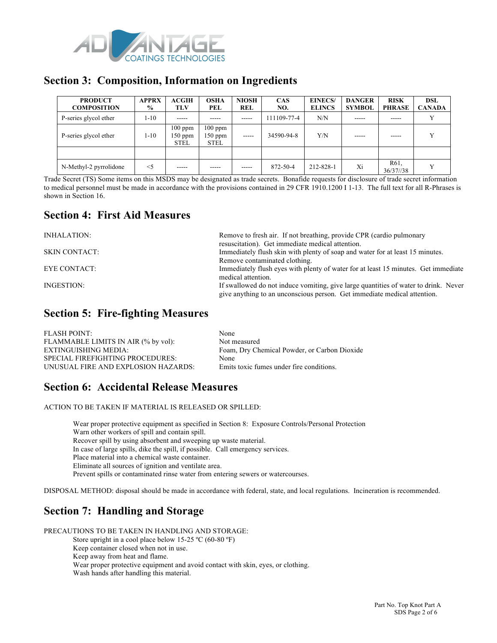

### **Section 3: Composition, Information on Ingredients**

| <b>PRODUCT</b><br><b>COMPOSITION</b> | <b>APPRX</b><br>$\%$ | ACGIH<br>TLV                          | <b>OSHA</b><br>PEL                    | <b>NIOSH</b><br><b>REL</b> | <b>CAS</b><br>NO. | <b>EINECS/</b><br><b>ELINCS</b> | <b>DANGER</b><br><b>SYMBOL</b> | <b>RISK</b><br><b>PHRASE</b> | <b>DSL</b><br><b>CANADA</b> |
|--------------------------------------|----------------------|---------------------------------------|---------------------------------------|----------------------------|-------------------|---------------------------------|--------------------------------|------------------------------|-----------------------------|
| P-series glycol ether                | 1-10                 | -----                                 |                                       | $- - - - -$                | 111109-77-4       | N/N                             | -----                          | -----                        |                             |
| P-series glycol ether                | 1-10                 | $100$ ppm<br>$150$ ppm<br><b>STEL</b> | $100$ ppm<br>$150$ ppm<br><b>STEL</b> | -----                      | 34590-94-8        | Y/N                             |                                | -----                        | $\mathbf{v}$                |
|                                      |                      |                                       |                                       |                            |                   |                                 |                                |                              |                             |
| N-Methyl-2 pyrrolidone               | $\leq$ 5             | -----                                 | -----                                 | -----                      | 872-50-4          | 212-828-1                       | Xi                             | R <sub>61</sub><br>36/37//38 |                             |

Trade Secret (TS) Some items on this MSDS may be designated as trade secrets. Bonafide requests for disclosure of trade secret information to medical personnel must be made in accordance with the provisions contained in 29 CFR 1910.1200 I 1-13. The full text for all R-Phrases is shown in Section 16.

### **Section 4: First Aid Measures**

| Remove to fresh air. If not breathing, provide CPR (cardio pulmonary<br>resuscitation). Get immediate medical attention.                                        |
|-----------------------------------------------------------------------------------------------------------------------------------------------------------------|
| Immediately flush skin with plenty of soap and water for at least 15 minutes.                                                                                   |
| Remove contaminated clothing.                                                                                                                                   |
| Immediately flush eyes with plenty of water for at least 15 minutes. Get immediate<br>medical attention.                                                        |
| If swallowed do not induce vomiting, give large quantities of water to drink. Never<br>give anything to an unconscious person. Get immediate medical attention. |
|                                                                                                                                                                 |

## **Section 5: Fire-fighting Measures**

| <b>FLASH POINT:</b>                 | None                                         |
|-------------------------------------|----------------------------------------------|
| FLAMMABLE LIMITS IN AIR (% by vol): | Not measured                                 |
| EXTINGUISHING MEDIA:                | Foam, Dry Chemical Powder, or Carbon Dioxide |
| SPECIAL FIREFIGHTING PROCEDURES:    | None                                         |
| UNUSUAL FIRE AND EXPLOSION HAZARDS: | Emits toxic fumes under fire conditions.     |

## **Section 6: Accidental Release Measures**

ACTION TO BE TAKEN IF MATERIAL IS RELEASED OR SPILLED:

Wear proper protective equipment as specified in Section 8: Exposure Controls/Personal Protection Warn other workers of spill and contain spill. Recover spill by using absorbent and sweeping up waste material. In case of large spills, dike the spill, if possible. Call emergency services. Place material into a chemical waste container. Eliminate all sources of ignition and ventilate area. Prevent spills or contaminated rinse water from entering sewers or watercourses.

DISPOSAL METHOD: disposal should be made in accordance with federal, state, and local regulations. Incineration is recommended.

# **Section 7: Handling and Storage**

PRECAUTIONS TO BE TAKEN IN HANDLING AND STORAGE:

Store upright in a cool place below 15-25 ºC (60-80 ºF)

Keep container closed when not in use.

Keep away from heat and flame.

Wear proper protective equipment and avoid contact with skin, eyes, or clothing.

Wash hands after handling this material.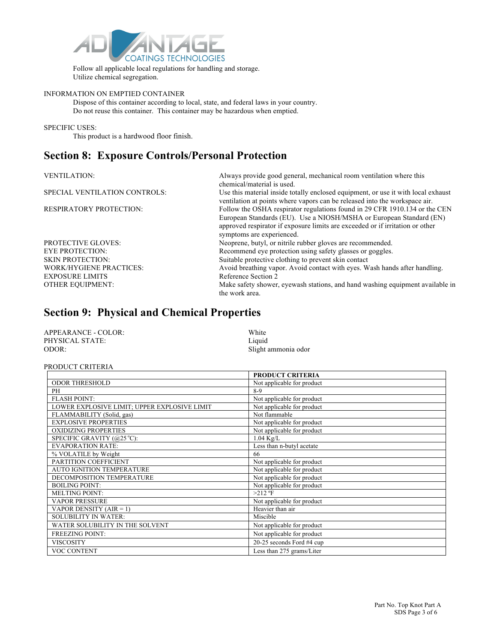

Follow all applicable local regulations for handling and storage. Utilize chemical segregation.

#### INFORMATION ON EMPTIED CONTAINER

Dispose of this container according to local, state, and federal laws in your country. Do not reuse this container. This container may be hazardous when emptied.

#### SPECIFIC USES:

This product is a hardwood floor finish.

### **Section 8: Exposure Controls/Personal Protection**

| <b>VENTILATION:</b>            | Always provide good general, mechanical room ventilation where this<br>chemical/material is used.                                                                                                                                                               |
|--------------------------------|-----------------------------------------------------------------------------------------------------------------------------------------------------------------------------------------------------------------------------------------------------------------|
| SPECIAL VENTILATION CONTROLS:  | Use this material inside totally enclosed equipment, or use it with local exhaust<br>ventilation at points where vapors can be released into the workspace air.                                                                                                 |
| <b>RESPIRATORY PROTECTION:</b> | Follow the OSHA respirator regulations found in 29 CFR 1910.134 or the CEN<br>European Standards (EU). Use a NIOSH/MSHA or European Standard (EN)<br>approved respirator if exposure limits are exceeded or if irritation or other<br>symptoms are experienced. |
| <b>PROTECTIVE GLOVES:</b>      | Neoprene, butyl, or nitrile rubber gloves are recommended.                                                                                                                                                                                                      |
| <b>EYE PROTECTION:</b>         | Recommend eye protection using safety glasses or goggles.                                                                                                                                                                                                       |
| <b>SKIN PROTECTION:</b>        | Suitable protective clothing to prevent skin contact                                                                                                                                                                                                            |
| <b>WORK/HYGIENE PRACTICES:</b> | Avoid breathing vapor. Avoid contact with eyes. Wash hands after handling.                                                                                                                                                                                      |
| <b>EXPOSURE LIMITS</b>         | Reference Section 2                                                                                                                                                                                                                                             |
| <b>OTHER EQUIPMENT:</b>        | Make safety shower, eyewash stations, and hand washing equipment available in<br>the work area.                                                                                                                                                                 |

### **Section 9: Physical and Chemical Properties**

| APPEARANCE - COLOR: | White               |
|---------------------|---------------------|
| PHYSICAL STATE:     | Liquid              |
| ODOR:               | Slight ammonia odor |

#### PRODUCT CRITERIA

|                                              | <b>PRODUCT CRITERIA</b>    |
|----------------------------------------------|----------------------------|
| <b>ODOR THRESHOLD</b>                        | Not applicable for product |
| PH                                           | $8-9$                      |
| <b>FLASH POINT:</b>                          | Not applicable for product |
| LOWER EXPLOSIVE LIMIT; UPPER EXPLOSIVE LIMIT | Not applicable for product |
| FLAMMABILITY (Solid, gas)                    | Not flammable              |
| <b>EXPLOSIVE PROPERTIES</b>                  | Not applicable for product |
| <b>OXIDIZING PROPERTIES</b>                  | Not applicable for product |
| SPECIFIC GRAVITY (@25 °C):                   | $1.04$ Kg/L                |
| <b>EVAPORATION RATE:</b>                     | Less than n-butyl acetate  |
| % VOLATILE by Weight                         | 66                         |
| PARTITION COEFFICIENT                        | Not applicable for product |
| <b>AUTO IGNITION TEMPERATURE</b>             | Not applicable for product |
| DECOMPOSITION TEMPERATURE                    | Not applicable for product |
| <b>BOILING POINT:</b>                        | Not applicable for product |
| <b>MELTING POINT:</b>                        | $>212$ °F                  |
| <b>VAPOR PRESSURE</b>                        | Not applicable for product |
| VAPOR DENSITY $(AIR = 1)$                    | Heavier than air           |
| <b>SOLUBILITY IN WATER:</b>                  | Miscible                   |
| WATER SOLUBILITY IN THE SOLVENT              | Not applicable for product |
| <b>FREEZING POINT:</b>                       | Not applicable for product |
| <b>VISCOSITY</b>                             | 20-25 seconds Ford #4 cup  |
| <b>VOC CONTENT</b>                           | Less than 275 grams/Liter  |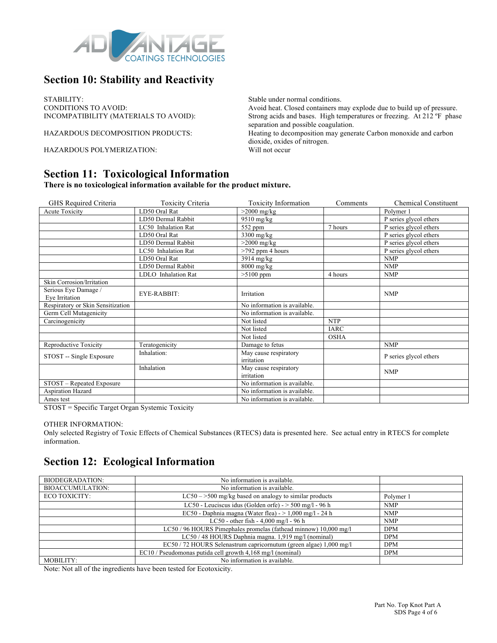

## **Section 10: Stability and Reactivity**

STABILITY:<br>
Stable under normal conditions.<br>
CONDITIONS TO AVOID:<br>
Avoid heat. Closed containers n

HAZARDOUS POLYMERIZATION: Will not occur

CONDITIONS TO AVOID:<br>
NOOMPATIBILITY (MATERIALS TO AVOID): Strong acids and bases. High temperatures or freezing. At 212 °F phas Strong acids and bases. High temperatures or freezing. At 212 °F phase separation and possible coagulation.

HAZARDOUS DECOMPOSITION PRODUCTS: Heating to decomposition may generate Carbon monoxide and carbon dioxide, oxides of nitrogen.

### **Section 11: Toxicological Information**

**There is no toxicological information available for the product mixture.**

| GHS Required Criteria                  | <b>Toxicity Criteria</b> | <b>Toxicity Information</b>         | Comments    | <b>Chemical Constituent</b> |
|----------------------------------------|--------------------------|-------------------------------------|-------------|-----------------------------|
| Acute Toxicity                         | LD50 Oral Rat            | $>2000$ mg/kg                       |             | Polymer 1                   |
|                                        | LD50 Dermal Rabbit       | $9510$ mg/kg                        |             | P series glycol ethers      |
|                                        | LC50 Inhalation Rat      | 552 ppm                             | 7 hours     | P series glycol ethers      |
|                                        | LD50 Oral Rat            | 3300 mg/kg                          |             | P series glycol ethers      |
|                                        | LD50 Dermal Rabbit       | $>2000$ mg/kg                       |             | P series glycol ethers      |
|                                        | LC50 Inhalation Rat      | $>792$ ppm 4 hours                  |             | P series glycol ethers      |
|                                        | LD50 Oral Rat            | 3914 mg/kg                          |             | <b>NMP</b>                  |
|                                        | LD50 Dermal Rabbit       | $8000$ mg/kg                        |             | <b>NMP</b>                  |
|                                        | LDLO Inhalation Rat      | $>5100$ ppm                         | 4 hours     | <b>NMP</b>                  |
| Skin Corrosion/Irritation              |                          |                                     |             |                             |
| Serious Eye Damage /<br>Eye Irritation | EYE-RABBIT:              | Irritation                          |             | <b>NMP</b>                  |
| Respiratory or Skin Sensitization      |                          | No information is available.        |             |                             |
| Germ Cell Mutagenicity                 |                          | No information is available.        |             |                             |
| Carcinogenicity                        |                          | Not listed                          | <b>NTP</b>  |                             |
|                                        |                          | Not listed                          | <b>IARC</b> |                             |
|                                        |                          | Not listed                          | <b>OSHA</b> |                             |
| Reproductive Toxicity                  | Teratogenicity           | Damage to fetus                     |             | <b>NMP</b>                  |
| STOST -- Single Exposure               | Inhalation:              | May cause respiratory<br>irritation |             | P series glycol ethers      |
|                                        | Inhalation               | May cause respiratory<br>irritation |             | <b>NMP</b>                  |
| STOST - Repeated Exposure              |                          | No information is available.        |             |                             |
| Aspiration Hazard                      |                          | No information is available.        |             |                             |
| Ames test                              |                          | No information is available.        |             |                             |

STOST = Specific Target Organ Systemic Toxicity

#### OTHER INFORMATION:

Only selected Registry of Toxic Effects of Chemical Substances (RTECS) data is presented here. See actual entry in RTECS for complete information.

## **Section 12: Ecological Information**

| BIODEGRADATION:         | No information is available.                                       |            |
|-------------------------|--------------------------------------------------------------------|------------|
| <b>BIOACCUMULATION:</b> | No information is available.                                       |            |
| ECO TOXICITY:           | $LC50 - >500$ mg/kg based on analogy to similar products           | Polymer 1  |
|                         | LC50 - Leuciscus idus (Golden orfe) - $>$ 500 mg/l - 96 h          | <b>NMP</b> |
|                         | EC50 - Daphnia magna (Water flea) - $> 1,000$ mg/l - 24 h          | <b>NMP</b> |
|                         | LC50 - other fish - $4,000$ mg/l - 96 h                            | <b>NMP</b> |
|                         | LC50 / 96 HOURS Pimephales promelas (fathead minnow) 10,000 mg/l   | <b>DPM</b> |
|                         | LC50 / 48 HOURS Daphnia magna. 1,919 mg/l (nominal)                | <b>DPM</b> |
|                         | EC50 / 72 HOURS Selenastrum capricornutum (green algae) 1,000 mg/l | <b>DPM</b> |
|                         | EC10 / Pseudomonas putida cell growth 4,168 mg/l (nominal)         | <b>DPM</b> |
| MOBILITY:               | No information is available.                                       |            |

Note: Not all of the ingredients have been tested for Ecotoxicity.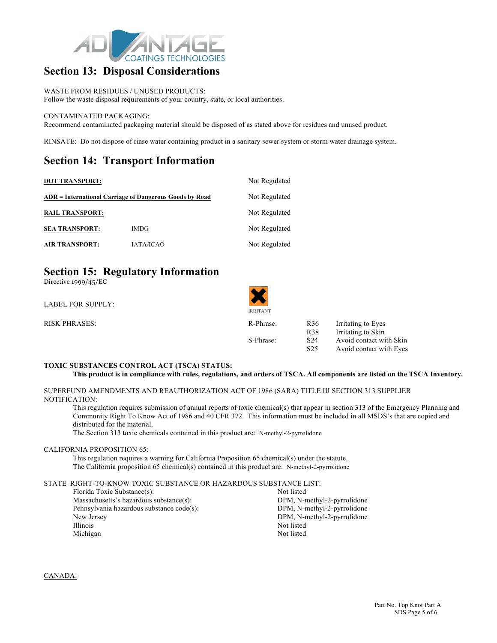

### **Section 13: Disposal Considerations**

WASTE FROM RESIDUES / UNUSED PRODUCTS: Follow the waste disposal requirements of your country, state, or local authorities.

#### CONTAMINATED PACKAGING:

Recommend contaminated packaging material should be disposed of as stated above for residues and unused product.

RINSATE: Do not dispose of rinse water containing product in a sanitary sewer system or storm water drainage system.

### **Section 14: Transport Information**

| <b>DOT TRANSPORT:</b>                                   | Not Regulated    |               |  |
|---------------------------------------------------------|------------------|---------------|--|
| ADR = International Carriage of Dangerous Goods by Road | Not Regulated    |               |  |
| <b>RAIL TRANSPORT:</b>                                  |                  | Not Regulated |  |
| <b>SEA TRANSPORT:</b>                                   | <b>IMDG</b>      | Not Regulated |  |
| <b>AIR TRANSPORT:</b>                                   | <b>IATA/ICAO</b> | Not Regulated |  |

## **Section 15: Regulatory Information**

Directive 1999/45/EC

| <b>LABEL FOR SUPPLY:</b> | <b>IRRITANT</b> |                 |                         |
|--------------------------|-----------------|-----------------|-------------------------|
| <b>RISK PHRASES:</b>     | R-Phrase:       | R <sub>36</sub> | Irritating to Eyes      |
|                          |                 | <b>R38</b>      | Irritating to Skin      |
|                          | S-Phrase:       | S <sub>24</sub> | Avoid contact with Skin |
|                          |                 | S <sub>25</sub> | Avoid contact with Eyes |

#### **TOXIC SUBSTANCES CONTROL ACT (TSCA) STATUS:**

**This product is in compliance with rules, regulations, and orders of TSCA. All components are listed on the TSCA Inventory.**

 $\blacktriangle$   $\blacktriangle$ 

SUPERFUND AMENDMENTS AND REAUTHORIZATION ACT OF 1986 (SARA) TITLE III SECTION 313 SUPPLIER NOTIFICATION:

This regulation requires submission of annual reports of toxic chemical(s) that appear in section 313 of the Emergency Planning and Community Right To Know Act of 1986 and 40 CFR 372. This information must be included in all MSDS's that are copied and distributed for the material.

The Section 313 toxic chemicals contained in this product are: N-methyl-2-pyrrolidone

#### CALIFORNIA PROPOSITION 65:

This regulation requires a warning for California Proposition 65 chemical(s) under the statute. The California proposition 65 chemical(s) contained in this product are: N-methyl-2-pyrrolidone

#### STATE RIGHT-TO-KNOW TOXIC SUBSTANCE OR HAZARDOUS SUBSTANCE LIST:

| Florida Toxic Substance(s):               | Not listed                  |
|-------------------------------------------|-----------------------------|
| Massachusetts's hazardous substance(s):   | DPM, N-methyl-2-pyrrolidone |
| Pennsylvania hazardous substance code(s): | DPM, N-methyl-2-pyrrolidone |
| New Jersey                                | DPM, N-methyl-2-pyrrolidone |
| <b>Illinois</b>                           | Not listed                  |
| Michigan                                  | Not listed                  |
|                                           |                             |

CANADA: